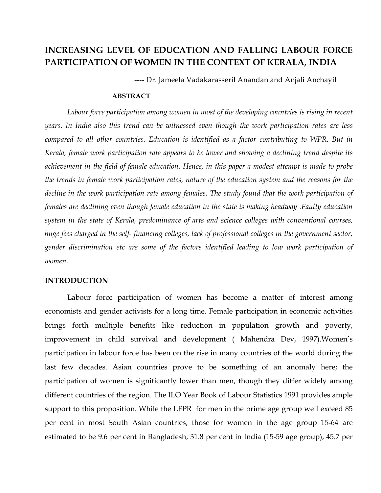# INCREASING LEVEL OF EDUCATION AND FALLING LABOUR FORCE PARTICIPATION OF WOMEN IN THE CONTEXT OF KERALA, INDIA

---- Dr. Jameela Vadakarasseril Anandan and Anjali Anchayil

## ABSTRACT

 Labour force participation among women in most of the developing countries is rising in recent years. In India also this trend can be witnessed even though the work participation rates are less compared to all other countries. Education is identified as a factor contributing to WPR. But in Kerala, female work participation rate appears to be lower and showing a declining trend despite its achievement in the field of female education. Hence, in this paper a modest attempt is made to probe the trends in female work participation rates, nature of the education system and the reasons for the decline in the work participation rate among females. The study found that the work participation of females are declining even though female education in the state is making headway .Faulty education system in the state of Kerala, predominance of arts and science colleges with conventional courses, huge fees charged in the self- financing colleges, lack of professional colleges in the government sector, gender discrimination etc are some of the factors identified leading to low work participation of women.

## INTRODUCTION

Labour force participation of women has become a matter of interest among economists and gender activists for a long time. Female participation in economic activities brings forth multiple benefits like reduction in population growth and poverty, improvement in child survival and development ( Mahendra Dev, 1997).Women's participation in labour force has been on the rise in many countries of the world during the last few decades. Asian countries prove to be something of an anomaly here; the participation of women is significantly lower than men, though they differ widely among different countries of the region. The ILO Year Book of Labour Statistics 1991 provides ample support to this proposition. While the LFPR for men in the prime age group well exceed 85 per cent in most South Asian countries, those for women in the age group 15-64 are estimated to be 9.6 per cent in Bangladesh, 31.8 per cent in India (15-59 age group), 45.7 per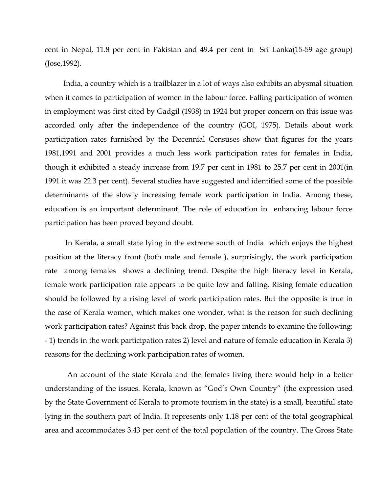cent in Nepal, 11.8 per cent in Pakistan and 49.4 per cent in Sri Lanka(15-59 age group) (Jose,1992).

 India, a country which is a trailblazer in a lot of ways also exhibits an abysmal situation when it comes to participation of women in the labour force. Falling participation of women in employment was first cited by Gadgil (1938) in 1924 but proper concern on this issue was accorded only after the independence of the country (GOI, 1975). Details about work participation rates furnished by the Decennial Censuses show that figures for the years 1981,1991 and 2001 provides a much less work participation rates for females in India, though it exhibited a steady increase from 19.7 per cent in 1981 to 25.7 per cent in 2001(in 1991 it was 22.3 per cent). Several studies have suggested and identified some of the possible determinants of the slowly increasing female work participation in India. Among these, education is an important determinant. The role of education in enhancing labour force participation has been proved beyond doubt.

 In Kerala, a small state lying in the extreme south of India which enjoys the highest position at the literacy front (both male and female ), surprisingly, the work participation rate among females shows a declining trend. Despite the high literacy level in Kerala, female work participation rate appears to be quite low and falling. Rising female education should be followed by a rising level of work participation rates. But the opposite is true in the case of Kerala women, which makes one wonder, what is the reason for such declining work participation rates? Against this back drop, the paper intends to examine the following: - 1) trends in the work participation rates 2) level and nature of female education in Kerala 3) reasons for the declining work participation rates of women.

An account of the state Kerala and the females living there would help in a better understanding of the issues. Kerala, known as "God's Own Country" (the expression used by the State Government of Kerala to promote tourism in the state) is a small, beautiful state lying in the southern part of India. It represents only 1.18 per cent of the total geographical area and accommodates 3.43 per cent of the total population of the country. The Gross State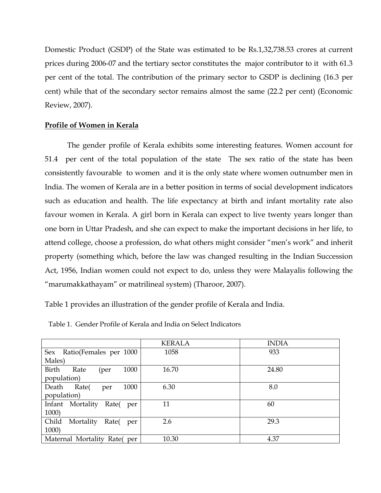Domestic Product (GSDP) of the State was estimated to be Rs.1,32,738.53 crores at current prices during 2006-07 and the tertiary sector constitutes the major contributor to it with 61.3 per cent of the total. The contribution of the primary sector to GSDP is declining (16.3 per cent) while that of the secondary sector remains almost the same (22.2 per cent) (Economic Review, 2007).

## Profile of Women in Kerala

The gender profile of Kerala exhibits some interesting features. Women account for 51.4 per cent of the total population of the state The sex ratio of the state has been consistently favourable to women and it is the only state where women outnumber men in India. The women of Kerala are in a better position in terms of social development indicators such as education and health. The life expectancy at birth and infant mortality rate also favour women in Kerala. A girl born in Kerala can expect to live twenty years longer than one born in Uttar Pradesh, and she can expect to make the important decisions in her life, to attend college, choose a profession, do what others might consider "men's work" and inherit property (something which, before the law was changed resulting in the Indian Succession Act, 1956, Indian women could not expect to do, unless they were Malayalis following the "marumakkathayam" or matrilineal system) (Tharoor, 2007).

Table 1 provides an illustration of the gender profile of Kerala and India.

|                                    | <b>KERALA</b> | <b>INDIA</b> |
|------------------------------------|---------------|--------------|
| Sex<br>Ratio(Females per 1000      | 1058          | 933          |
| Males)                             |               |              |
| Birth<br>1000<br>Rate<br>(per      | 16.70         | 24.80        |
| population)                        |               |              |
| 1000<br>Rate(<br>Death<br>per      | 6.30          | 8.0          |
| population)                        |               |              |
| Infant Mortality<br>Rate(<br>per   | 11            | 60           |
| 1000)                              |               |              |
| Child<br>Mortality<br>Rate(<br>per | 2.6           | 29.3         |
| 1000)                              |               |              |
| Maternal Mortality Rate(per        | 10.30         | 4.37         |

Table 1. Gender Profile of Kerala and India on Select Indicators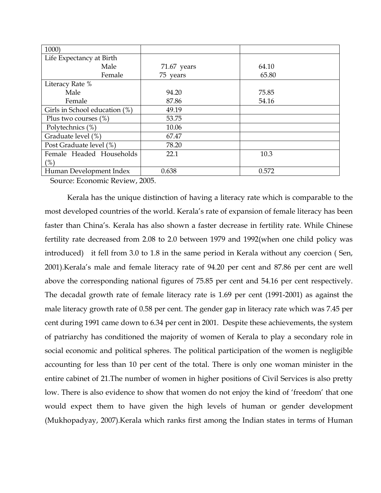| 1000)                         |               |       |  |
|-------------------------------|---------------|-------|--|
| Life Expectancy at Birth      |               |       |  |
| Male                          | $71.67$ years | 64.10 |  |
| Female                        | 75 years      | 65.80 |  |
| Literacy Rate %               |               |       |  |
| Male                          | 94.20         | 75.85 |  |
| Female                        | 87.86         | 54.16 |  |
| Girls in School education (%) | 49.19         |       |  |
| Plus two courses $(\%)$       | 53.75         |       |  |
| Polytechnics (%)              | 10.06         |       |  |
| Graduate level (%)            | 67.47         |       |  |
| Post Graduate level (%)       | 78.20         |       |  |
| Female Headed Households      | 22.1          | 10.3  |  |
| (%)                           |               |       |  |
| Human Development Index       | 0.638         | 0.572 |  |

Source: Economic Review, 2005.

Kerala has the unique distinction of having a literacy rate which is comparable to the most developed countries of the world. Kerala's rate of expansion of female literacy has been faster than China's. Kerala has also shown a faster decrease in fertility rate. While Chinese fertility rate decreased from 2.08 to 2.0 between 1979 and 1992(when one child policy was introduced) it fell from 3.0 to 1.8 in the same period in Kerala without any coercion ( Sen, 2001).Kerala's male and female literacy rate of 94.20 per cent and 87.86 per cent are well above the corresponding national figures of 75.85 per cent and 54.16 per cent respectively. The decadal growth rate of female literacy rate is 1.69 per cent (1991-2001) as against the male literacy growth rate of 0.58 per cent. The gender gap in literacy rate which was 7.45 per cent during 1991 came down to 6.34 per cent in 2001. Despite these achievements, the system of patriarchy has conditioned the majority of women of Kerala to play a secondary role in social economic and political spheres. The political participation of the women is negligible accounting for less than 10 per cent of the total. There is only one woman minister in the entire cabinet of 21.The number of women in higher positions of Civil Services is also pretty low. There is also evidence to show that women do not enjoy the kind of 'freedom' that one would expect them to have given the high levels of human or gender development (Mukhopadyay, 2007).Kerala which ranks first among the Indian states in terms of Human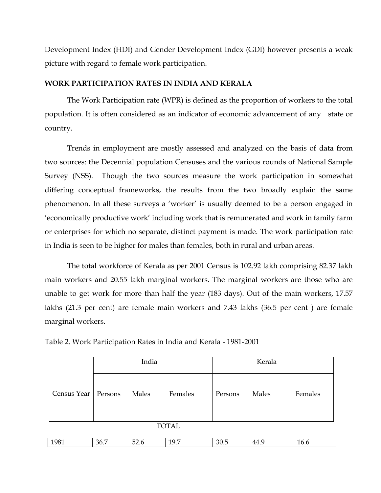Development Index (HDI) and Gender Development Index (GDI) however presents a weak picture with regard to female work participation.

# WORK PARTICIPATION RATES IN INDIA AND KERALA

The Work Participation rate (WPR) is defined as the proportion of workers to the total population. It is often considered as an indicator of economic advancement of any state or country.

 Trends in employment are mostly assessed and analyzed on the basis of data from two sources: the Decennial population Censuses and the various rounds of National Sample Survey (NSS). Though the two sources measure the work participation in somewhat differing conceptual frameworks, the results from the two broadly explain the same phenomenon. In all these surveys a 'worker' is usually deemed to be a person engaged in 'economically productive work' including work that is remunerated and work in family farm or enterprises for which no separate, distinct payment is made. The work participation rate in India is seen to be higher for males than females, both in rural and urban areas.

The total workforce of Kerala as per 2001 Census is 102.92 lakh comprising 82.37 lakh main workers and 20.55 lakh marginal workers. The marginal workers are those who are unable to get work for more than half the year (183 days). Out of the main workers, 17.57 lakhs (21.3 per cent) are female main workers and 7.43 lakhs (36.5 per cent ) are female marginal workers.

|                       | India |       |         | Kerala  |       |         |  |
|-----------------------|-------|-------|---------|---------|-------|---------|--|
| Census Year   Persons |       | Males | Females | Persons | Males | Females |  |
| <b>TOTAL</b>          |       |       |         |         |       |         |  |

Table 2. Work Participation Rates in India and Kerala - 1981-2001

| $\sim$ $\sim$ $\sim$ | 3F<br>$ -$ | $\sim$<br>$\cdot$<br>. | ∼<br>.<br>--<br>$  -$ | $\sim$ | ДΔ<br>. | . .<br>10.U<br>$  -$ |
|----------------------|------------|------------------------|-----------------------|--------|---------|----------------------|
|                      |            |                        |                       |        |         |                      |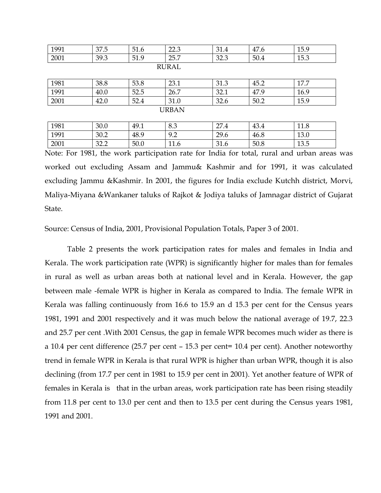| 1991 | 37.5         | 51.6 | 22.3         | 31.4 | 47.6 | 15.9 |  |  |  |
|------|--------------|------|--------------|------|------|------|--|--|--|
| 2001 | 39.3         | 51.9 | 25.7         | 32.3 | 50.4 | 15.3 |  |  |  |
|      | <b>RURAL</b> |      |              |      |      |      |  |  |  |
|      |              |      |              |      |      |      |  |  |  |
| 1981 | 38.8         | 53.8 | 23.1         | 31.3 | 45.2 | 17.7 |  |  |  |
| 1991 | 40.0         | 52.5 | 26.7         | 32.1 | 47.9 | 16.9 |  |  |  |
| 2001 | 42.0         | 52.4 | 31.0         | 32.6 | 50.2 | 15.9 |  |  |  |
|      |              |      | <b>URBAN</b> |      |      |      |  |  |  |
|      |              |      |              |      |      |      |  |  |  |
| 1981 | 30.0         | 49.1 | 8.3          | 27.4 | 43.4 | 11.8 |  |  |  |
| 1991 | 30.2         | 48.9 | 9.2          | 29.6 | 46.8 | 13.0 |  |  |  |

2001 | 32.2 | 50.0 | 11.6 | 31.6 | 50.8 | 13.5

Note: For 1981, the work participation rate for India for total, rural and urban areas was worked out excluding Assam and Jammu& Kashmir and for 1991, it was calculated excluding Jammu &Kashmir. In 2001, the figures for India exclude Kutchh district, Morvi, Maliya-Miyana &Wankaner taluks of Rajkot & Jodiya taluks of Jamnagar district of Gujarat State.

Source: Census of India, 2001, Provisional Population Totals, Paper 3 of 2001.

Table 2 presents the work participation rates for males and females in India and Kerala. The work participation rate (WPR) is significantly higher for males than for females in rural as well as urban areas both at national level and in Kerala. However, the gap between male -female WPR is higher in Kerala as compared to India. The female WPR in Kerala was falling continuously from 16.6 to 15.9 an d 15.3 per cent for the Census years 1981, 1991 and 2001 respectively and it was much below the national average of 19.7, 22.3 and 25.7 per cent .With 2001 Census, the gap in female WPR becomes much wider as there is a 10.4 per cent difference (25.7 per cent – 15.3 per cent= 10.4 per cent). Another noteworthy trend in female WPR in Kerala is that rural WPR is higher than urban WPR, though it is also declining (from 17.7 per cent in 1981 to 15.9 per cent in 2001). Yet another feature of WPR of females in Kerala is that in the urban areas, work participation rate has been rising steadily from 11.8 per cent to 13.0 per cent and then to 13.5 per cent during the Census years 1981, 1991 and 2001.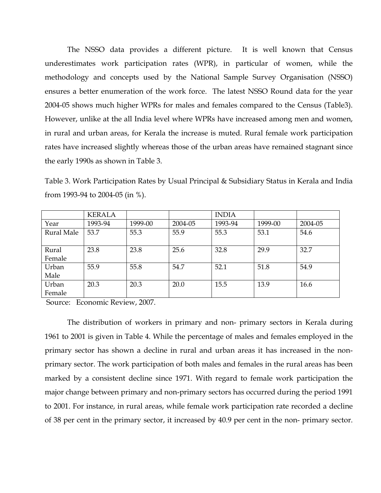The NSSO data provides a different picture. It is well known that Census underestimates work participation rates (WPR), in particular of women, while the methodology and concepts used by the National Sample Survey Organisation (NSSO) ensures a better enumeration of the work force. The latest NSSO Round data for the year 2004-05 shows much higher WPRs for males and females compared to the Census (Table3). However, unlike at the all India level where WPRs have increased among men and women, in rural and urban areas, for Kerala the increase is muted. Rural female work participation rates have increased slightly whereas those of the urban areas have remained stagnant since the early 1990s as shown in Table 3.

Table 3. Work Participation Rates by Usual Principal & Subsidiary Status in Kerala and India from 1993-94 to 2004-05 (in %).

|            | <b>KERALA</b> |         |         | <b>INDIA</b> |         |         |
|------------|---------------|---------|---------|--------------|---------|---------|
| Year       | 1993-94       | 1999-00 | 2004-05 | 1993-94      | 1999-00 | 2004-05 |
| Rural Male | 53.7          | 55.3    | 55.9    | 55.3         | 53.1    | 54.6    |
| Rural      | 23.8          | 23.8    | 25.6    | 32.8         | 29.9    | 32.7    |
| Female     |               |         |         |              |         |         |
| Urban      | 55.9          | 55.8    | 54.7    | 52.1         | 51.8    | 54.9    |
| Male       |               |         |         |              |         |         |
| Urban      | 20.3          | 20.3    | 20.0    | 15.5         | 13.9    | 16.6    |
| Female     |               |         |         |              |         |         |

Source: Economic Review, 2007.

The distribution of workers in primary and non- primary sectors in Kerala during 1961 to 2001 is given in Table 4. While the percentage of males and females employed in the primary sector has shown a decline in rural and urban areas it has increased in the nonprimary sector. The work participation of both males and females in the rural areas has been marked by a consistent decline since 1971. With regard to female work participation the major change between primary and non-primary sectors has occurred during the period 1991 to 2001. For instance, in rural areas, while female work participation rate recorded a decline of 38 per cent in the primary sector, it increased by 40.9 per cent in the non- primary sector.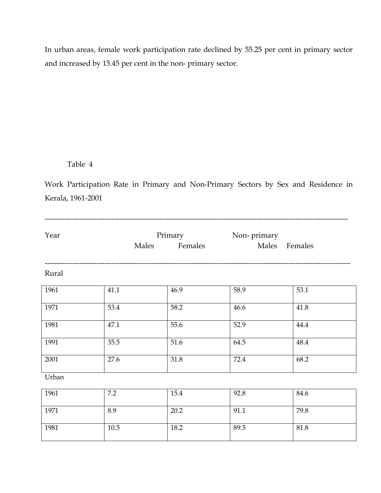In urban areas, female work participation rate declined by 55.25 per cent in primary sector and increased by 15.45 per cent in the non- primary sector.

# Table 4

Work Participation Rate in Primary and Non-Primary Sectors by Sex and Residence in Kerala, 1961-2001

| Year  | Males | Primary<br>Females | Non-primary<br>Males Females |      |
|-------|-------|--------------------|------------------------------|------|
| Rural |       |                    |                              |      |
| 1961  | 41.1  | 46.9               | 58.9                         | 53.1 |
| 1971  | 53.4  | 58.2               | 46.6                         | 41.8 |
| 1981  | 47.1  | 55.6               | 52.9                         | 44.4 |
| 1991  | 35.5  | 51.6               | 64.5                         | 48.4 |
| 2001  | 27.6  | 31.8               | 72.4                         | 68.2 |
| Urban |       |                    |                              |      |
| 1961  | 7.2   | 15.4               | 92.8                         | 84.6 |
| 1971  | 8.9   | 20.2               | 91.1                         | 79.8 |
| 1981  | 10.5  | 18.2               | 89.5                         | 81.8 |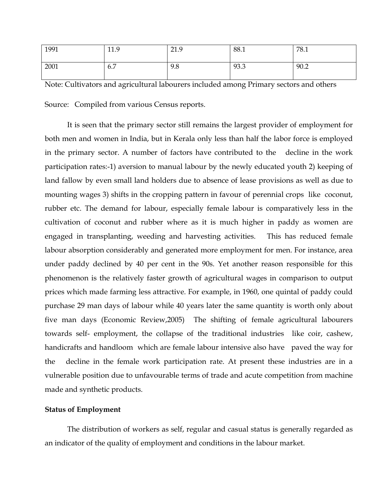| 1991 | 11.9 | 21.9 | 88.1 | 78.1 |
|------|------|------|------|------|
| 2001 | 6.7  | 9.8  | 93.3 | 90.2 |

Note: Cultivators and agricultural labourers included among Primary sectors and others

Source: Compiled from various Census reports.

It is seen that the primary sector still remains the largest provider of employment for both men and women in India, but in Kerala only less than half the labor force is employed in the primary sector. A number of factors have contributed to the decline in the work participation rates:-1) aversion to manual labour by the newly educated youth 2) keeping of land fallow by even small land holders due to absence of lease provisions as well as due to mounting wages 3) shifts in the cropping pattern in favour of perennial crops like coconut, rubber etc. The demand for labour, especially female labour is comparatively less in the cultivation of coconut and rubber where as it is much higher in paddy as women are engaged in transplanting, weeding and harvesting activities. This has reduced female labour absorption considerably and generated more employment for men. For instance, area under paddy declined by 40 per cent in the 90s. Yet another reason responsible for this phenomenon is the relatively faster growth of agricultural wages in comparison to output prices which made farming less attractive. For example, in 1960, one quintal of paddy could purchase 29 man days of labour while 40 years later the same quantity is worth only about five man days (Economic Review,2005) The shifting of female agricultural labourers towards self- employment, the collapse of the traditional industries like coir, cashew, handicrafts and handloom which are female labour intensive also have paved the way for the decline in the female work participation rate. At present these industries are in a vulnerable position due to unfavourable terms of trade and acute competition from machine made and synthetic products.

## Status of Employment

 The distribution of workers as self, regular and casual status is generally regarded as an indicator of the quality of employment and conditions in the labour market.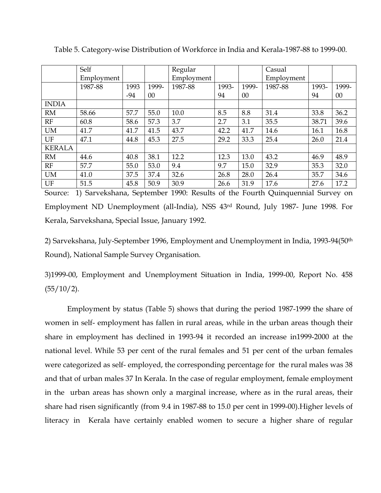|               | Self       |       |        | Regular    |       |       | Casual     |       |       |
|---------------|------------|-------|--------|------------|-------|-------|------------|-------|-------|
|               | Employment |       |        | Employment |       |       | Employment |       |       |
|               | 1987-88    | 1993  | 1999-  | 1987-88    | 1993- | 1999- | 1987-88    | 1993- | 1999- |
|               |            | $-94$ | $00\,$ |            | 94    | 00    |            | 94    | 00    |
| <b>INDIA</b>  |            |       |        |            |       |       |            |       |       |
| <b>RM</b>     | 58.66      | 57.7  | 55.0   | 10.0       | 8.5   | 8.8   | 31.4       | 33.8  | 36.2  |
| RF            | 60.8       | 58.6  | 57.3   | 3.7        | 2.7   | 3.1   | 35.5       | 38.71 | 39.6  |
| <b>UM</b>     | 41.7       | 41.7  | 41.5   | 43.7       | 42.2  | 41.7  | 14.6       | 16.1  | 16.8  |
| UF            | 47.1       | 44.8  | 45.3   | 27.5       | 29.2  | 33.3  | 25.4       | 26.0  | 21.4  |
| <b>KERALA</b> |            |       |        |            |       |       |            |       |       |
| <b>RM</b>     | 44.6       | 40.8  | 38.1   | 12.2       | 12.3  | 13.0  | 43.2       | 46.9  | 48.9  |
| RF            | 57.7       | 55.0  | 53.0   | 9.4        | 9.7   | 15.0  | 32.9       | 35.3  | 32.0  |
| <b>UM</b>     | 41.0       | 37.5  | 37.4   | 32.6       | 26.8  | 28.0  | 26.4       | 35.7  | 34.6  |
| UF            | 51.5       | 45.8  | 50.9   | 30.9       | 26.6  | 31.9  | 17.6       | 27.6  | 17.2  |

Table 5. Category-wise Distribution of Workforce in India and Kerala-1987-88 to 1999-00.

Source: 1) Sarvekshana, September 1990: Results of the Fourth Quinquennial Survey on Employment ND Unemployment (all-India), NSS 43rd Round, July 1987- June 1998. For Kerala, Sarvekshana, Special Issue, January 1992.

2) Sarvekshana, July-September 1996, Employment and Unemployment in India, 1993-94(50th Round), National Sample Survey Organisation.

3)1999-00, Employment and Unemployment Situation in India, 1999-00, Report No. 458  $(55/10/2)$ .

 Employment by status (Table 5) shows that during the period 1987-1999 the share of women in self- employment has fallen in rural areas, while in the urban areas though their share in employment has declined in 1993-94 it recorded an increase in1999-2000 at the national level. While 53 per cent of the rural females and 51 per cent of the urban females were categorized as self- employed, the corresponding percentage for the rural males was 38 and that of urban males 37 In Kerala. In the case of regular employment, female employment in the urban areas has shown only a marginal increase, where as in the rural areas, their share had risen significantly (from 9.4 in 1987-88 to 15.0 per cent in 1999-00).Higher levels of literacy in Kerala have certainly enabled women to secure a higher share of regular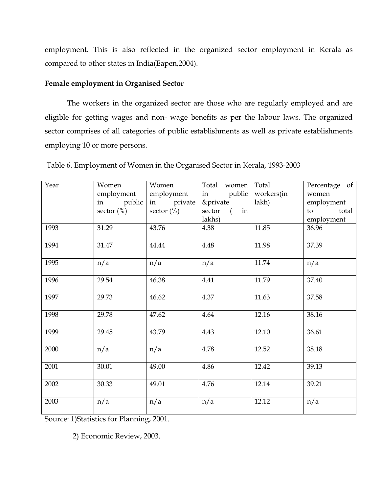employment. This is also reflected in the organized sector employment in Kerala as compared to other states in India(Eapen,2004).

# Female employment in Organised Sector

The workers in the organized sector are those who are regularly employed and are eligible for getting wages and non- wage benefits as per the labour laws. The organized sector comprises of all categories of public establishments as well as private establishments employing 10 or more persons.

| Year | Women<br>employment        | Women<br>employment         | Total women<br>public<br>in                          | Total<br>workers(in | Percentage of<br>women                  |
|------|----------------------------|-----------------------------|------------------------------------------------------|---------------------|-----------------------------------------|
|      | in public<br>sector $(\%)$ | in private<br>sector $(\%)$ | &private<br>sector<br>in<br>$\overline{a}$<br>lakhs) | lakh)               | employment<br>total<br>to<br>employment |
| 1993 | 31.29                      | 43.76                       | 4.38                                                 | 11.85               | 36.96                                   |
| 1994 | 31.47                      | 44.44                       | 4.48                                                 | 11.98               | 37.39                                   |
| 1995 | n/a                        | n/a                         | n/a                                                  | 11.74               | n/a                                     |
| 1996 | 29.54                      | 46.38                       | 4.41                                                 | 11.79               | 37.40                                   |
| 1997 | 29.73                      | 46.62                       | 4.37                                                 | 11.63               | 37.58                                   |
| 1998 | 29.78                      | 47.62                       | 4.64                                                 | 12.16               | 38.16                                   |
| 1999 | 29.45                      | 43.79                       | 4.43                                                 | 12.10               | 36.61                                   |
| 2000 | n/a                        | n/a                         | 4.78                                                 | 12.52               | 38.18                                   |
| 2001 | 30.01                      | 49.00                       | 4.86                                                 | 12.42               | 39.13                                   |
| 2002 | 30.33                      | 49.01                       | 4.76                                                 | 12.14               | 39.21                                   |
| 2003 | n/a                        | n/a                         | n/a                                                  | 12.12               | n/a                                     |

Table 6. Employment of Women in the Organised Sector in Kerala, 1993-2003

Source: 1)Statistics for Planning, 2001.

2) Economic Review, 2003.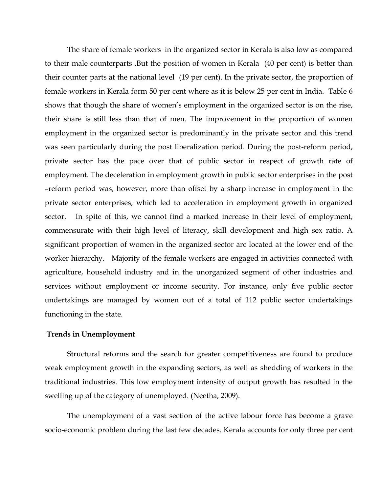The share of female workers in the organized sector in Kerala is also low as compared to their male counterparts .But the position of women in Kerala (40 per cent) is better than their counter parts at the national level (19 per cent). In the private sector, the proportion of female workers in Kerala form 50 per cent where as it is below 25 per cent in India. Table 6 shows that though the share of women's employment in the organized sector is on the rise, their share is still less than that of men. The improvement in the proportion of women employment in the organized sector is predominantly in the private sector and this trend was seen particularly during the post liberalization period. During the post-reform period, private sector has the pace over that of public sector in respect of growth rate of employment. The deceleration in employment growth in public sector enterprises in the post –reform period was, however, more than offset by a sharp increase in employment in the private sector enterprises, which led to acceleration in employment growth in organized sector. In spite of this, we cannot find a marked increase in their level of employment, commensurate with their high level of literacy, skill development and high sex ratio. A significant proportion of women in the organized sector are located at the lower end of the worker hierarchy. Majority of the female workers are engaged in activities connected with agriculture, household industry and in the unorganized segment of other industries and services without employment or income security. For instance, only five public sector undertakings are managed by women out of a total of 112 public sector undertakings functioning in the state.

#### Trends in Unemployment

Structural reforms and the search for greater competitiveness are found to produce weak employment growth in the expanding sectors, as well as shedding of workers in the traditional industries. This low employment intensity of output growth has resulted in the swelling up of the category of unemployed. (Neetha, 2009).

The unemployment of a vast section of the active labour force has become a grave socio-economic problem during the last few decades. Kerala accounts for only three per cent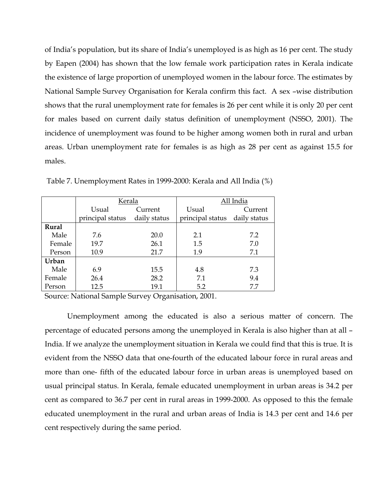of India's population, but its share of India's unemployed is as high as 16 per cent. The study by Eapen (2004) has shown that the low female work participation rates in Kerala indicate the existence of large proportion of unemployed women in the labour force. The estimates by National Sample Survey Organisation for Kerala confirm this fact. A sex –wise distribution shows that the rural unemployment rate for females is 26 per cent while it is only 20 per cent for males based on current daily status definition of unemployment (NSSO, 2001). The incidence of unemployment was found to be higher among women both in rural and urban areas. Urban unemployment rate for females is as high as 28 per cent as against 15.5 for males.

|        | Kerala           |              | All India                     |         |  |
|--------|------------------|--------------|-------------------------------|---------|--|
|        | Usual            | Current      | Usual                         | Current |  |
|        | principal status | daily status | principal status daily status |         |  |
| Rural  |                  |              |                               |         |  |
| Male   | 7.6              | 20.0         | 2.1                           | 7.2     |  |
| Female | 19.7             | 26.1         | 1.5                           | 7.0     |  |
| Person | 10.9             | 21.7         | 1.9                           | 7.1     |  |
| Urban  |                  |              |                               |         |  |
| Male   | 6.9              | 15.5         | 4.8                           | 7.3     |  |
| Female | 26.4             | 28.2         | 7.1                           | 9.4     |  |
| Person | 12.5             | 19.1         | 5.2                           | 7.7     |  |

Table 7. Unemployment Rates in 1999-2000: Kerala and All India (%)

Source: National Sample Survey Organisation, 2001.

Unemployment among the educated is also a serious matter of concern. The percentage of educated persons among the unemployed in Kerala is also higher than at all – India. If we analyze the unemployment situation in Kerala we could find that this is true. It is evident from the NSSO data that one-fourth of the educated labour force in rural areas and more than one- fifth of the educated labour force in urban areas is unemployed based on usual principal status. In Kerala, female educated unemployment in urban areas is 34.2 per cent as compared to 36.7 per cent in rural areas in 1999-2000. As opposed to this the female educated unemployment in the rural and urban areas of India is 14.3 per cent and 14.6 per cent respectively during the same period.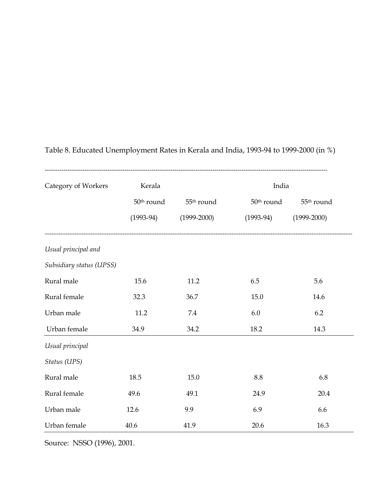| Category of Workers      | Kerala                 |                        | India                  |                        |
|--------------------------|------------------------|------------------------|------------------------|------------------------|
|                          | 50 <sup>th</sup> round | 55 <sup>th</sup> round | 50 <sup>th</sup> round | 55 <sup>th</sup> round |
|                          | $(1993-94)$            | $(1999 - 2000)$        | $(1993-94)$            | $(1999 - 2000)$        |
| Usual principal and      |                        |                        |                        |                        |
| Subsidiary status (UPSS) |                        |                        |                        |                        |
| Rural male               | 15.6                   | 11.2                   | 6.5                    | 5.6                    |
| Rural female             | 32.3                   | 36.7                   | 15.0                   | 14.6                   |
| Urban male               | 11.2                   | 7.4                    | 6.0                    | 6.2                    |
| Urban female             | 34.9                   | 34.2                   | 18.2                   | 14.3                   |
| Usual principal          |                        |                        |                        |                        |
| Status (UPS)             |                        |                        |                        |                        |
| Rural male               | 18.5                   | 15.0                   | 8.8                    | 6.8                    |
| Rural female             | 49.6                   | 49.1                   | 24.9                   | 20.4                   |
| Urban male               | 12.6                   | 9.9                    | 6.9                    | 6.6                    |
| Urban female             | 40.6                   | 41.9                   | 20.6                   | 16.3                   |

# Table 8. Educated Unemployment Rates in Kerala and India, 1993-94 to 1999-2000 (in %)

Source: NSSO (1996), 2001.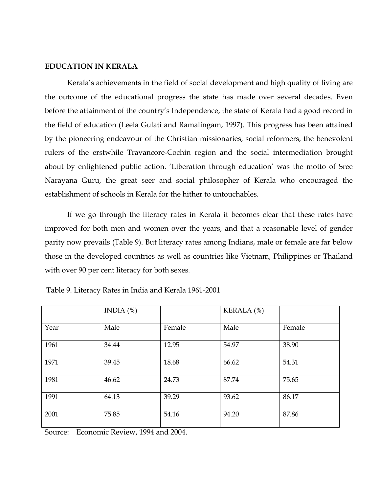## EDUCATION IN KERALA

 Kerala's achievements in the field of social development and high quality of living are the outcome of the educational progress the state has made over several decades. Even before the attainment of the country's Independence, the state of Kerala had a good record in the field of education (Leela Gulati and Ramalingam, 1997). This progress has been attained by the pioneering endeavour of the Christian missionaries, social reformers, the benevolent rulers of the erstwhile Travancore-Cochin region and the social intermediation brought about by enlightened public action. 'Liberation through education' was the motto of Sree Narayana Guru, the great seer and social philosopher of Kerala who encouraged the establishment of schools in Kerala for the hither to untouchables.

 If we go through the literacy rates in Kerala it becomes clear that these rates have improved for both men and women over the years, and that a reasonable level of gender parity now prevails (Table 9). But literacy rates among Indians, male or female are far below those in the developed countries as well as countries like Vietnam, Philippines or Thailand with over 90 per cent literacy for both sexes.

|      | INDIA $(\%)$ |        | KERALA (%) |        |
|------|--------------|--------|------------|--------|
| Year | Male         | Female | Male       | Female |
| 1961 | 34.44        | 12.95  | 54.97      | 38.90  |
| 1971 | 39.45        | 18.68  | 66.62      | 54.31  |
| 1981 | 46.62        | 24.73  | 87.74      | 75.65  |
| 1991 | 64.13        | 39.29  | 93.62      | 86.17  |
| 2001 | 75.85        | 54.16  | 94.20      | 87.86  |

Table 9. Literacy Rates in India and Kerala 1961-2001

Source: Economic Review, 1994 and 2004.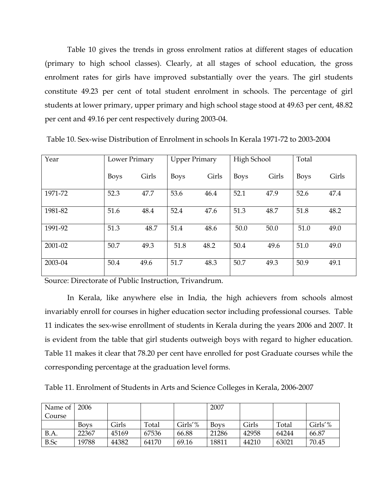Table 10 gives the trends in gross enrolment ratios at different stages of education (primary to high school classes). Clearly, at all stages of school education, the gross enrolment rates for girls have improved substantially over the years. The girl students constitute 49.23 per cent of total student enrolment in schools. The percentage of girl students at lower primary, upper primary and high school stage stood at 49.63 per cent, 48.82 per cent and 49.16 per cent respectively during 2003-04.

| Year    | Lower Primary |       | <b>Upper Primary</b> |       | High School |       | Total       |       |
|---------|---------------|-------|----------------------|-------|-------------|-------|-------------|-------|
|         | <b>Boys</b>   | Girls | <b>Boys</b>          | Girls | <b>Boys</b> | Girls | <b>Boys</b> | Girls |
| 1971-72 | 52.3          | 47.7  | 53.6                 | 46.4  | 52.1        | 47.9  | 52.6        | 47.4  |
| 1981-82 | 51.6          | 48.4  | 52.4                 | 47.6  | 51.3        | 48.7  | 51.8        | 48.2  |
| 1991-92 | 51.3          | 48.7  | 51.4                 | 48.6  | 50.0        | 50.0  | 51.0        | 49.0  |
| 2001-02 | 50.7          | 49.3  | 51.8                 | 48.2  | 50.4        | 49.6  | 51.0        | 49.0  |
| 2003-04 | 50.4          | 49.6  | 51.7                 | 48.3  | 50.7        | 49.3  | 50.9        | 49.1  |

Table 10. Sex-wise Distribution of Enrolment in schools In Kerala 1971-72 to 2003-2004

Source: Directorate of Public Instruction, Trivandrum.

 In Kerala, like anywhere else in India, the high achievers from schools almost invariably enroll for courses in higher education sector including professional courses. Table 11 indicates the sex-wise enrollment of students in Kerala during the years 2006 and 2007. It is evident from the table that girl students outweigh boys with regard to higher education. Table 11 makes it clear that 78.20 per cent have enrolled for post Graduate courses while the corresponding percentage at the graduation level forms.

Table 11. Enrolment of Students in Arts and Science Colleges in Kerala, 2006-2007

| Name of     | 2006  |       |       |         | 2007        |       |       |         |
|-------------|-------|-------|-------|---------|-------------|-------|-------|---------|
| Course      |       |       |       |         |             |       |       |         |
|             | Bovs  | Girls | Total | Girls'% | <b>Boys</b> | Girls | Total | Girls'' |
| B.A.        | 22367 | 45169 | 67536 | 66.88   | 21286       | 42958 | 64244 | 66.87   |
| <b>B.Sc</b> | 19788 | 44382 | 64170 | 69.16   | 18811       | 44210 | 63021 | 70.45   |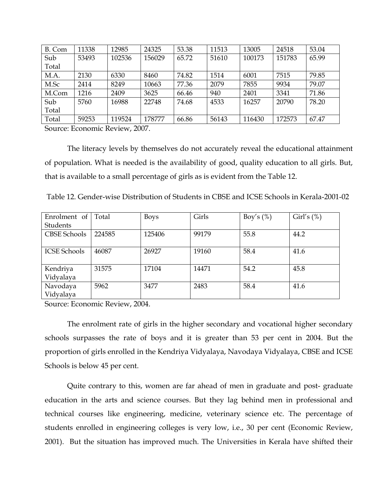| B. Com | 11338 | 12985  | 24325  | 53.38 | 11513 | 13005  | 24518  | 53.04 |
|--------|-------|--------|--------|-------|-------|--------|--------|-------|
| Sub    | 53493 | 102536 | 156029 | 65.72 | 51610 | 100173 | 151783 | 65.99 |
| Total  |       |        |        |       |       |        |        |       |
| M.A.   | 2130  | 6330   | 8460   | 74.82 | 1514  | 6001   | 7515   | 79.85 |
| M.Sc   | 2414  | 8249   | 10663  | 77.36 | 2079  | 7855   | 9934   | 79.07 |
| M.Com  | 1216  | 2409   | 3625   | 66.46 | 940   | 2401   | 3341   | 71.86 |
| Sub    | 5760  | 16988  | 22748  | 74.68 | 4533  | 16257  | 20790  | 78.20 |
| Total  |       |        |        |       |       |        |        |       |
| Total  | 59253 | 119524 | 178777 | 66.86 | 56143 | 116430 | 172573 | 67.47 |

Source: Economic Review, 2007.

The literacy levels by themselves do not accurately reveal the educational attainment of population. What is needed is the availability of good, quality education to all girls. But, that is available to a small percentage of girls as is evident from the Table 12.

| Enrolment of        | Total  |             | Girls |              | Girl's $(\%)$ |
|---------------------|--------|-------------|-------|--------------|---------------|
|                     |        | <b>Boys</b> |       | Boy's $(\%)$ |               |
| Students            |        |             |       |              |               |
| <b>CBSE Schools</b> | 224585 | 125406      | 99179 | 55.8         | 44.2          |
|                     |        |             |       |              |               |
| <b>ICSE Schools</b> | 46087  | 26927       | 19160 | 58.4         | 41.6          |
|                     |        |             |       |              |               |
| Kendriya            | 31575  | 17104       | 14471 | 54.2         | 45.8          |
| Vidyalaya           |        |             |       |              |               |
| Navodaya            | 5962   | 3477        | 2483  | 58.4         | 41.6          |
| Vidyalaya           |        |             |       |              |               |

Source: Economic Review, 2004.

The enrolment rate of girls in the higher secondary and vocational higher secondary schools surpasses the rate of boys and it is greater than 53 per cent in 2004. But the proportion of girls enrolled in the Kendriya Vidyalaya, Navodaya Vidyalaya, CBSE and ICSE Schools is below 45 per cent.

Quite contrary to this, women are far ahead of men in graduate and post- graduate education in the arts and science courses. But they lag behind men in professional and technical courses like engineering, medicine, veterinary science etc. The percentage of students enrolled in engineering colleges is very low, i.e., 30 per cent (Economic Review, 2001). But the situation has improved much. The Universities in Kerala have shifted their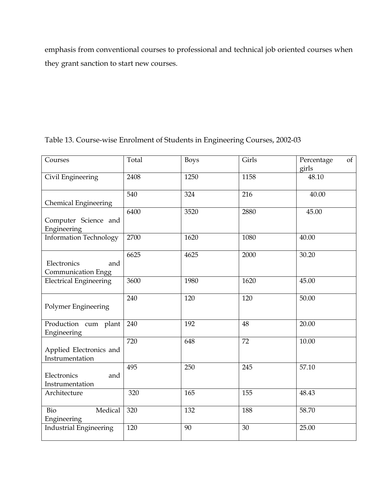emphasis from conventional courses to professional and technical job oriented courses when they grant sanction to start new courses.

| Courses                                         | Total | <b>Boys</b> | Girls | of<br>Percentage<br>girls |
|-------------------------------------------------|-------|-------------|-------|---------------------------|
| Civil Engineering                               | 2408  | 1250        | 1158  | 48.10                     |
| <b>Chemical Engineering</b>                     | 540   | 324         | 216   | 40.00                     |
| Computer Science and<br>Engineering             | 6400  | 3520        | 2880  | 45.00                     |
| <b>Information Technology</b>                   | 2700  | 1620        | 1080  | 40.00                     |
| Electronics<br>and<br><b>Communication Engg</b> | 6625  | 4625        | 2000  | 30.20                     |
| <b>Electrical Engineering</b>                   | 3600  | 1980        | 1620  | 45.00                     |
| Polymer Engineering                             | 240   | 120         | 120   | 50.00                     |
| Production cum plant<br>Engineering             | 240   | 192         | 48    | 20.00                     |
| Applied Electronics and<br>Instrumentation      | 720   | 648         | 72    | 10.00                     |
| Electronics<br>and<br>Instrumentation           | 495   | 250         | 245   | 57.10                     |
| Architecture                                    | 320   | 165         | 155   | 48.43                     |
| Medical<br>Bio<br>Engineering                   | 320   | 132         | 188   | 58.70                     |
| <b>Industrial Engineering</b>                   | 120   | 90          | 30    | 25.00                     |

Table 13. Course-wise Enrolment of Students in Engineering Courses, 2002-03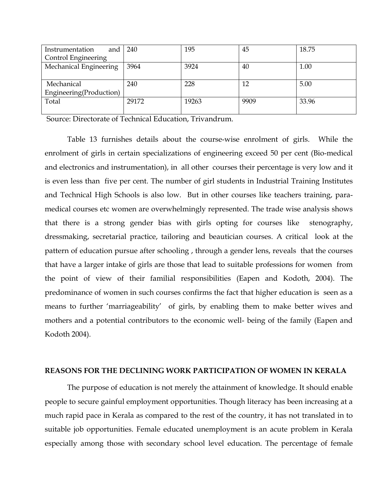| Instrumentation<br>and  | 240   | 195   | 45   | 18.75 |
|-------------------------|-------|-------|------|-------|
| Control Engineering     |       |       |      |       |
| Mechanical Engineering  | 3964  | 3924  | 40   | 1.00  |
|                         |       |       |      |       |
| Mechanical              | 240   | 228   | 12   | 5.00  |
| Engineering(Production) |       |       |      |       |
| Total                   | 29172 | 19263 | 9909 | 33.96 |
|                         |       |       |      |       |

Source: Directorate of Technical Education, Trivandrum.

Table 13 furnishes details about the course-wise enrolment of girls. While the enrolment of girls in certain specializations of engineering exceed 50 per cent (Bio-medical and electronics and instrumentation), in all other courses their percentage is very low and it is even less than five per cent. The number of girl students in Industrial Training Institutes and Technical High Schools is also low. But in other courses like teachers training, paramedical courses etc women are overwhelmingly represented. The trade wise analysis shows that there is a strong gender bias with girls opting for courses like stenography, dressmaking, secretarial practice, tailoring and beautician courses. A critical look at the pattern of education pursue after schooling , through a gender lens, reveals that the courses that have a larger intake of girls are those that lead to suitable professions for women from the point of view of their familial responsibilities (Eapen and Kodoth, 2004). The predominance of women in such courses confirms the fact that higher education is seen as a means to further 'marriageability' of girls, by enabling them to make better wives and mothers and a potential contributors to the economic well- being of the family (Eapen and Kodoth 2004).

# REASONS FOR THE DECLINING WORK PARTICIPATION OF WOMEN IN KERALA

The purpose of education is not merely the attainment of knowledge. It should enable people to secure gainful employment opportunities. Though literacy has been increasing at a much rapid pace in Kerala as compared to the rest of the country, it has not translated in to suitable job opportunities. Female educated unemployment is an acute problem in Kerala especially among those with secondary school level education. The percentage of female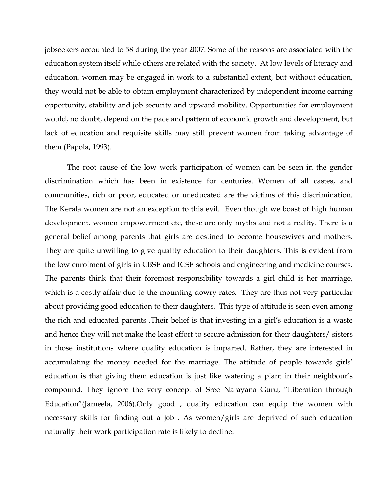jobseekers accounted to 58 during the year 2007. Some of the reasons are associated with the education system itself while others are related with the society. At low levels of literacy and education, women may be engaged in work to a substantial extent, but without education, they would not be able to obtain employment characterized by independent income earning opportunity, stability and job security and upward mobility. Opportunities for employment would, no doubt, depend on the pace and pattern of economic growth and development, but lack of education and requisite skills may still prevent women from taking advantage of them (Papola, 1993).

 The root cause of the low work participation of women can be seen in the gender discrimination which has been in existence for centuries. Women of all castes, and communities, rich or poor, educated or uneducated are the victims of this discrimination. The Kerala women are not an exception to this evil. Even though we boast of high human development, women empowerment etc, these are only myths and not a reality. There is a general belief among parents that girls are destined to become housewives and mothers. They are quite unwilling to give quality education to their daughters. This is evident from the low enrolment of girls in CBSE and ICSE schools and engineering and medicine courses. The parents think that their foremost responsibility towards a girl child is her marriage, which is a costly affair due to the mounting dowry rates. They are thus not very particular about providing good education to their daughters. This type of attitude is seen even among the rich and educated parents .Their belief is that investing in a girl's education is a waste and hence they will not make the least effort to secure admission for their daughters/ sisters in those institutions where quality education is imparted. Rather, they are interested in accumulating the money needed for the marriage. The attitude of people towards girls' education is that giving them education is just like watering a plant in their neighbour's compound. They ignore the very concept of Sree Narayana Guru, "Liberation through Education"(Jameela, 2006).Only good , quality education can equip the women with necessary skills for finding out a job . As women/girls are deprived of such education naturally their work participation rate is likely to decline.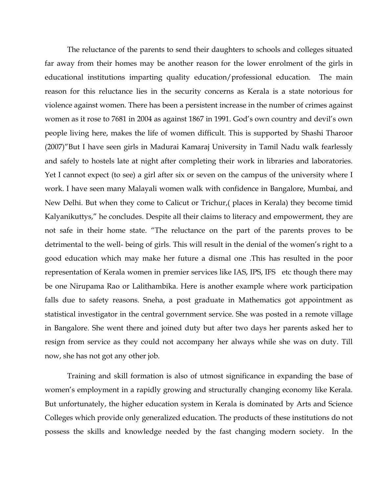The reluctance of the parents to send their daughters to schools and colleges situated far away from their homes may be another reason for the lower enrolment of the girls in educational institutions imparting quality education/professional education. The main reason for this reluctance lies in the security concerns as Kerala is a state notorious for violence against women. There has been a persistent increase in the number of crimes against women as it rose to 7681 in 2004 as against 1867 in 1991. God's own country and devil's own people living here, makes the life of women difficult. This is supported by Shashi Tharoor (2007)"But I have seen girls in Madurai Kamaraj University in Tamil Nadu walk fearlessly and safely to hostels late at night after completing their work in libraries and laboratories. Yet I cannot expect (to see) a girl after six or seven on the campus of the university where I work. I have seen many Malayali women walk with confidence in Bangalore, Mumbai, and New Delhi. But when they come to Calicut or Trichur,( places in Kerala) they become timid Kalyanikuttys," he concludes. Despite all their claims to literacy and empowerment, they are not safe in their home state. "The reluctance on the part of the parents proves to be detrimental to the well- being of girls. This will result in the denial of the women's right to a good education which may make her future a dismal one .This has resulted in the poor representation of Kerala women in premier services like IAS, IPS, IFS etc though there may be one Nirupama Rao or Lalithambika. Here is another example where work participation falls due to safety reasons. Sneha, a post graduate in Mathematics got appointment as statistical investigator in the central government service. She was posted in a remote village in Bangalore. She went there and joined duty but after two days her parents asked her to resign from service as they could not accompany her always while she was on duty. Till now, she has not got any other job.

Training and skill formation is also of utmost significance in expanding the base of women's employment in a rapidly growing and structurally changing economy like Kerala. But unfortunately, the higher education system in Kerala is dominated by Arts and Science Colleges which provide only generalized education. The products of these institutions do not possess the skills and knowledge needed by the fast changing modern society. In the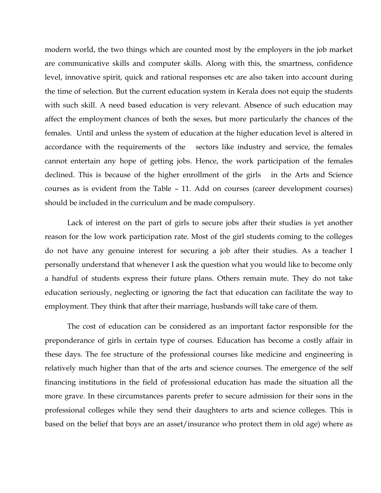modern world, the two things which are counted most by the employers in the job market are communicative skills and computer skills. Along with this, the smartness, confidence level, innovative spirit, quick and rational responses etc are also taken into account during the time of selection. But the current education system in Kerala does not equip the students with such skill. A need based education is very relevant. Absence of such education may affect the employment chances of both the sexes, but more particularly the chances of the females. Until and unless the system of education at the higher education level is altered in accordance with the requirements of the sectors like industry and service, the females cannot entertain any hope of getting jobs. Hence, the work participation of the females declined. This is because of the higher enrollment of the girls in the Arts and Science courses as is evident from the Table – 11. Add on courses (career development courses) should be included in the curriculum and be made compulsory.

Lack of interest on the part of girls to secure jobs after their studies is yet another reason for the low work participation rate. Most of the girl students coming to the colleges do not have any genuine interest for securing a job after their studies. As a teacher I personally understand that whenever I ask the question what you would like to become only a handful of students express their future plans. Others remain mute. They do not take education seriously, neglecting or ignoring the fact that education can facilitate the way to employment. They think that after their marriage, husbands will take care of them.

The cost of education can be considered as an important factor responsible for the preponderance of girls in certain type of courses. Education has become a costly affair in these days. The fee structure of the professional courses like medicine and engineering is relatively much higher than that of the arts and science courses. The emergence of the self financing institutions in the field of professional education has made the situation all the more grave. In these circumstances parents prefer to secure admission for their sons in the professional colleges while they send their daughters to arts and science colleges. This is based on the belief that boys are an asset/insurance who protect them in old age) where as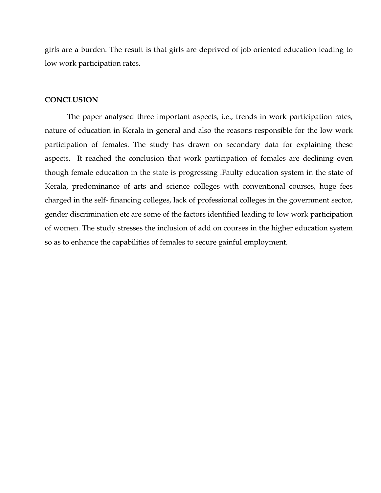girls are a burden. The result is that girls are deprived of job oriented education leading to low work participation rates.

#### **CONCLUSION**

 The paper analysed three important aspects, i.e., trends in work participation rates, nature of education in Kerala in general and also the reasons responsible for the low work participation of females. The study has drawn on secondary data for explaining these aspects. It reached the conclusion that work participation of females are declining even though female education in the state is progressing .Faulty education system in the state of Kerala, predominance of arts and science colleges with conventional courses, huge fees charged in the self- financing colleges, lack of professional colleges in the government sector, gender discrimination etc are some of the factors identified leading to low work participation of women. The study stresses the inclusion of add on courses in the higher education system so as to enhance the capabilities of females to secure gainful employment.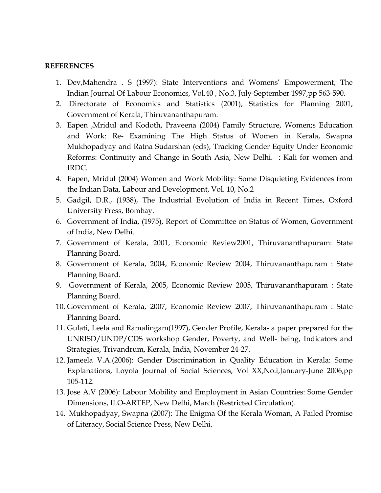## REFERENCES

- 1. Dev,Mahendra . S (1997): State Interventions and Womens' Empowerment, The Indian Journal Of Labour Economics, Vol.40 , No.3, July-September 1997,pp 563-590.
- 2. Directorate of Economics and Statistics (2001), Statistics for Planning 2001, Government of Kerala, Thiruvananthapuram.
- 3. Eapen ,Mridul and Kodoth, Praveena (2004) Family Structure, Women;s Education and Work: Re- Examining The High Status of Women in Kerala, Swapna Mukhopadyay and Ratna Sudarshan (eds), Tracking Gender Equity Under Economic Reforms: Continuity and Change in South Asia, New Delhi. : Kali for women and IRDC.
- 4. Eapen, Mridul (2004) Women and Work Mobility: Some Disquieting Evidences from the Indian Data, Labour and Development, Vol. 10, No.2
- 5. Gadgil, D.R., (1938), The Industrial Evolution of India in Recent Times, Oxford University Press, Bombay.
- 6. Government of India, (1975), Report of Committee on Status of Women, Government of India, New Delhi.
- 7. Government of Kerala, 2001, Economic Review2001, Thiruvananthapuram: State Planning Board.
- 8. Government of Kerala, 2004, Economic Review 2004, Thiruvananthapuram : State Planning Board.
- 9. Government of Kerala, 2005, Economic Review 2005, Thiruvananthapuram : State Planning Board.
- 10. Government of Kerala, 2007, Economic Review 2007, Thiruvananthapuram : State Planning Board.
- 11. Gulati, Leela and Ramalingam(1997), Gender Profile, Kerala- a paper prepared for the UNRISD/UNDP/CDS workshop Gender, Poverty, and Well- being, Indicators and Strategies, Trivandrum, Kerala, India, November 24-27.
- 12. Jameela V.A.(2006): Gender Discrimination in Quality Education in Kerala: Some Explanations, Loyola Journal of Social Sciences, Vol XX,No.i,January-June 2006,pp 105-112.
- 13. Jose A.V (2006): Labour Mobility and Employment in Asian Countries: Some Gender Dimensions, ILO-ARTEP, New Delhi, March (Restricted Circulation).
- 14. Mukhopadyay, Swapna (2007): The Enigma Of the Kerala Woman, A Failed Promise of Literacy, Social Science Press, New Delhi.